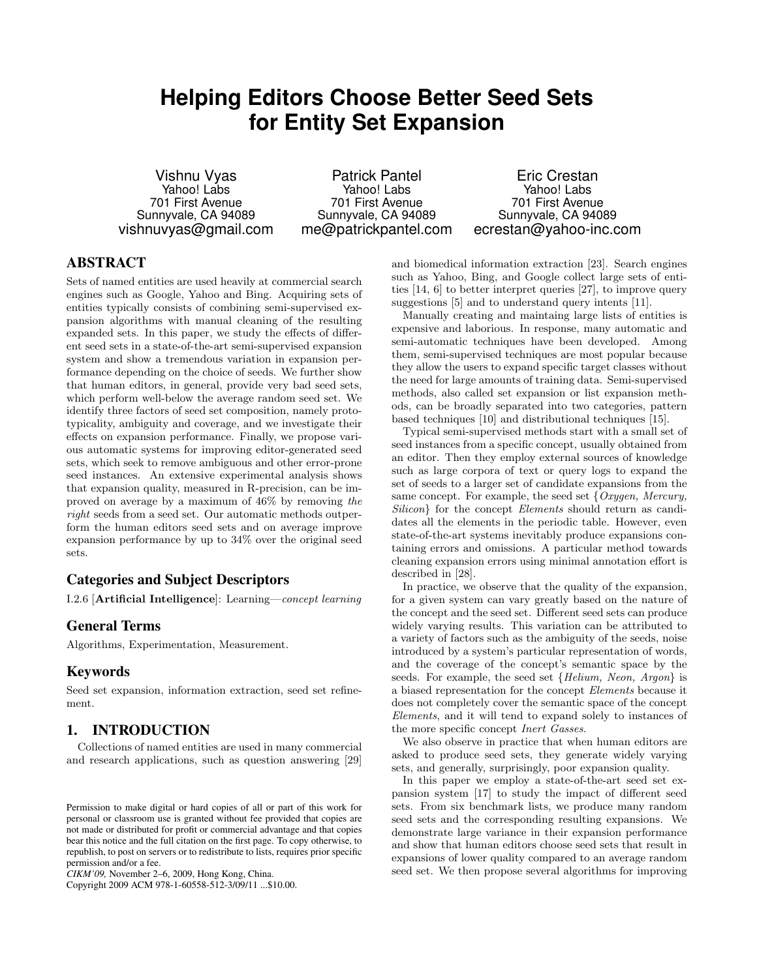# **Helping Editors Choose Better Seed Sets for Entity Set Expansion**

Vishnu Vyas Yahoo! Labs 701 First Avenue Sunnyvale, CA 94089 vishnuvyas@gmail.com

Patrick Pantel Yahoo! Labs 701 First Avenue Sunnyvale, CA 94089 me@patrickpantel.com

Eric Crestan Yahoo! Labs 701 First Avenue Sunnyvale, CA 94089 ecrestan@yahoo-inc.com

# ABSTRACT

Sets of named entities are used heavily at commercial search engines such as Google, Yahoo and Bing. Acquiring sets of entities typically consists of combining semi-supervised expansion algorithms with manual cleaning of the resulting expanded sets. In this paper, we study the effects of different seed sets in a state-of-the-art semi-supervised expansion system and show a tremendous variation in expansion performance depending on the choice of seeds. We further show that human editors, in general, provide very bad seed sets, which perform well-below the average random seed set. We identify three factors of seed set composition, namely prototypicality, ambiguity and coverage, and we investigate their effects on expansion performance. Finally, we propose various automatic systems for improving editor-generated seed sets, which seek to remove ambiguous and other error-prone seed instances. An extensive experimental analysis shows that expansion quality, measured in R-precision, can be improved on average by a maximum of 46% by removing the right seeds from a seed set. Our automatic methods outperform the human editors seed sets and on average improve expansion performance by up to 34% over the original seed sets.

# Categories and Subject Descriptors

I.2.6 [Artificial Intelligence]: Learning—concept learning

# General Terms

Algorithms, Experimentation, Measurement.

# Keywords

Seed set expansion, information extraction, seed set refinement.

# 1. INTRODUCTION

Collections of named entities are used in many commercial and research applications, such as question answering [29]

Copyright 2009 ACM 978-1-60558-512-3/09/11 ...\$10.00.

and biomedical information extraction [23]. Search engines such as Yahoo, Bing, and Google collect large sets of entities [14, 6] to better interpret queries [27], to improve query suggestions [5] and to understand query intents [11].

Manually creating and maintaing large lists of entities is expensive and laborious. In response, many automatic and semi-automatic techniques have been developed. Among them, semi-supervised techniques are most popular because they allow the users to expand specific target classes without the need for large amounts of training data. Semi-supervised methods, also called set expansion or list expansion methods, can be broadly separated into two categories, pattern based techniques [10] and distributional techniques [15].

Typical semi-supervised methods start with a small set of seed instances from a specific concept, usually obtained from an editor. Then they employ external sources of knowledge such as large corpora of text or query logs to expand the set of seeds to a larger set of candidate expansions from the same concept. For example, the seed set  $\{Oxygen, Mercury,$ Silicon} for the concept *Elements* should return as candidates all the elements in the periodic table. However, even state-of-the-art systems inevitably produce expansions containing errors and omissions. A particular method towards cleaning expansion errors using minimal annotation effort is described in [28].

In practice, we observe that the quality of the expansion, for a given system can vary greatly based on the nature of the concept and the seed set. Different seed sets can produce widely varying results. This variation can be attributed to a variety of factors such as the ambiguity of the seeds, noise introduced by a system's particular representation of words, and the coverage of the concept's semantic space by the seeds. For example, the seed set {Helium, Neon, Argon} is a biased representation for the concept Elements because it does not completely cover the semantic space of the concept Elements, and it will tend to expand solely to instances of the more specific concept Inert Gasses.

We also observe in practice that when human editors are asked to produce seed sets, they generate widely varying sets, and generally, surprisingly, poor expansion quality.

In this paper we employ a state-of-the-art seed set expansion system [17] to study the impact of different seed sets. From six benchmark lists, we produce many random seed sets and the corresponding resulting expansions. We demonstrate large variance in their expansion performance and show that human editors choose seed sets that result in expansions of lower quality compared to an average random seed set. We then propose several algorithms for improving

Permission to make digital or hard copies of all or part of this work for personal or classroom use is granted without fee provided that copies are not made or distributed for profit or commercial advantage and that copies bear this notice and the full citation on the first page. To copy otherwise, to republish, to post on servers or to redistribute to lists, requires prior specific permission and/or a fee.

*CIKM'09,* November 2–6, 2009, Hong Kong, China.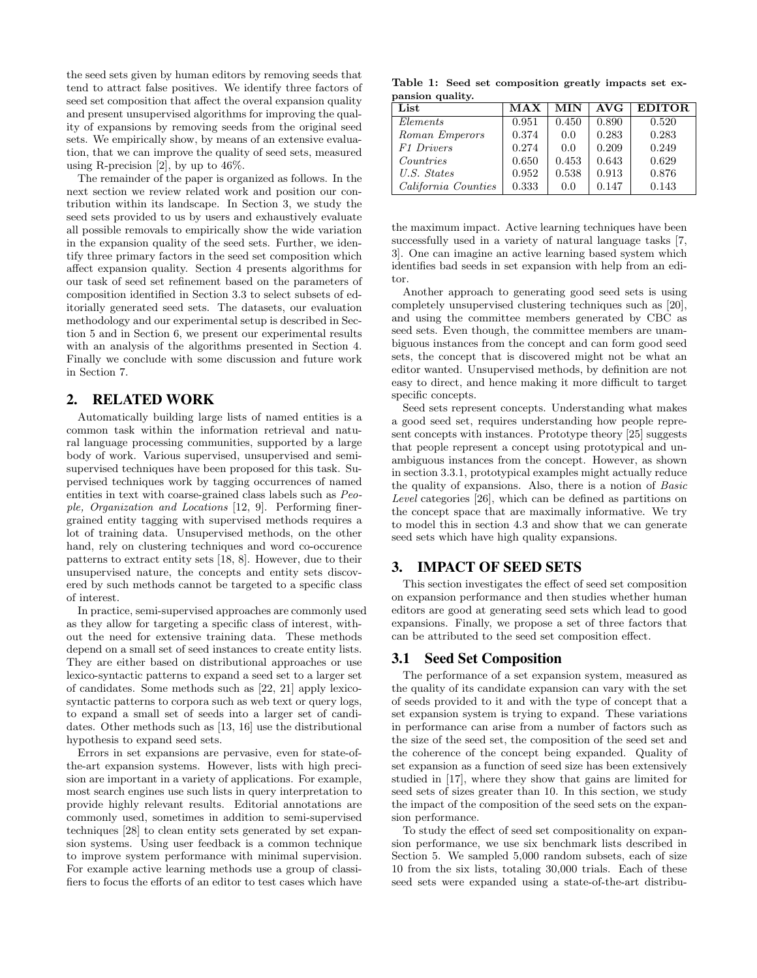the seed sets given by human editors by removing seeds that tend to attract false positives. We identify three factors of seed set composition that affect the overal expansion quality and present unsupervised algorithms for improving the quality of expansions by removing seeds from the original seed sets. We empirically show, by means of an extensive evaluation, that we can improve the quality of seed sets, measured using R-precision [2], by up to  $46\%$ .

The remainder of the paper is organized as follows. In the next section we review related work and position our contribution within its landscape. In Section 3, we study the seed sets provided to us by users and exhaustively evaluate all possible removals to empirically show the wide variation in the expansion quality of the seed sets. Further, we identify three primary factors in the seed set composition which affect expansion quality. Section 4 presents algorithms for our task of seed set refinement based on the parameters of composition identified in Section 3.3 to select subsets of editorially generated seed sets. The datasets, our evaluation methodology and our experimental setup is described in Section 5 and in Section 6, we present our experimental results with an analysis of the algorithms presented in Section 4. Finally we conclude with some discussion and future work in Section 7.

# 2. RELATED WORK

Automatically building large lists of named entities is a common task within the information retrieval and natural language processing communities, supported by a large body of work. Various supervised, unsupervised and semisupervised techniques have been proposed for this task. Supervised techniques work by tagging occurrences of named entities in text with coarse-grained class labels such as People, Organization and Locations [12, 9]. Performing finergrained entity tagging with supervised methods requires a lot of training data. Unsupervised methods, on the other hand, rely on clustering techniques and word co-occurence patterns to extract entity sets [18, 8]. However, due to their unsupervised nature, the concepts and entity sets discovered by such methods cannot be targeted to a specific class of interest.

In practice, semi-supervised approaches are commonly used as they allow for targeting a specific class of interest, without the need for extensive training data. These methods depend on a small set of seed instances to create entity lists. They are either based on distributional approaches or use lexico-syntactic patterns to expand a seed set to a larger set of candidates. Some methods such as [22, 21] apply lexicosyntactic patterns to corpora such as web text or query logs, to expand a small set of seeds into a larger set of candidates. Other methods such as [13, 16] use the distributional hypothesis to expand seed sets.

Errors in set expansions are pervasive, even for state-ofthe-art expansion systems. However, lists with high precision are important in a variety of applications. For example, most search engines use such lists in query interpretation to provide highly relevant results. Editorial annotations are commonly used, sometimes in addition to semi-supervised techniques [28] to clean entity sets generated by set expansion systems. Using user feedback is a common technique to improve system performance with minimal supervision. For example active learning methods use a group of classifiers to focus the efforts of an editor to test cases which have

Table 1: Seed set composition greatly impacts set expansion quality.

| List                | MAX   | MIN   | AVG   | <b>EDITOR</b> |
|---------------------|-------|-------|-------|---------------|
| Elements            | 0.951 | 0.450 | 0.890 | 0.520         |
| Roman Emperors      | 0.374 | 0.0   | 0.283 | 0.283         |
| F1 Drivers          | 0.274 | 0.0   | 0.209 | 0.249         |
| Countries           | 0.650 | 0.453 | 0.643 | 0.629         |
| U.S. States         | 0.952 | 0.538 | 0.913 | 0.876         |
| California Counties | 0.333 | 0.0   | 0.147 | 0.143         |

the maximum impact. Active learning techniques have been successfully used in a variety of natural language tasks [7, 3]. One can imagine an active learning based system which identifies bad seeds in set expansion with help from an editor.

Another approach to generating good seed sets is using completely unsupervised clustering techniques such as [20], and using the committee members generated by CBC as seed sets. Even though, the committee members are unambiguous instances from the concept and can form good seed sets, the concept that is discovered might not be what an editor wanted. Unsupervised methods, by definition are not easy to direct, and hence making it more difficult to target specific concepts.

Seed sets represent concepts. Understanding what makes a good seed set, requires understanding how people represent concepts with instances. Prototype theory [25] suggests that people represent a concept using prototypical and unambiguous instances from the concept. However, as shown in section 3.3.1, prototypical examples might actually reduce the quality of expansions. Also, there is a notion of Basic Level categories [26], which can be defined as partitions on the concept space that are maximally informative. We try to model this in section 4.3 and show that we can generate seed sets which have high quality expansions.

# 3. IMPACT OF SEED SETS

This section investigates the effect of seed set composition on expansion performance and then studies whether human editors are good at generating seed sets which lead to good expansions. Finally, we propose a set of three factors that can be attributed to the seed set composition effect.

# 3.1 Seed Set Composition

The performance of a set expansion system, measured as the quality of its candidate expansion can vary with the set of seeds provided to it and with the type of concept that a set expansion system is trying to expand. These variations in performance can arise from a number of factors such as the size of the seed set, the composition of the seed set and the coherence of the concept being expanded. Quality of set expansion as a function of seed size has been extensively studied in [17], where they show that gains are limited for seed sets of sizes greater than 10. In this section, we study the impact of the composition of the seed sets on the expansion performance.

To study the effect of seed set compositionality on expansion performance, we use six benchmark lists described in Section 5. We sampled 5,000 random subsets, each of size 10 from the six lists, totaling 30,000 trials. Each of these seed sets were expanded using a state-of-the-art distribu-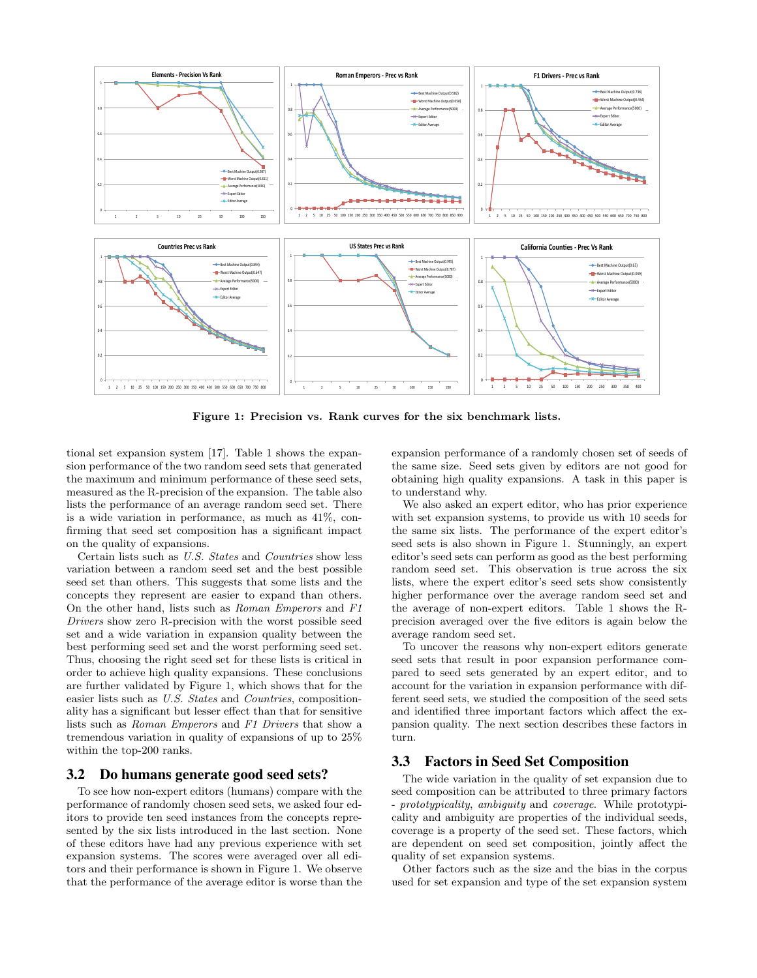

Figure 1: Precision vs. Rank curves for the six benchmark lists.

tional set expansion system [17]. Table 1 shows the expansion performance of the two random seed sets that generated the maximum and minimum performance of these seed sets, measured as the R-precision of the expansion. The table also lists the performance of an average random seed set. There is a wide variation in performance, as much as 41%, confirming that seed set composition has a significant impact on the quality of expansions.

Certain lists such as U.S. States and Countries show less variation between a random seed set and the best possible seed set than others. This suggests that some lists and the concepts they represent are easier to expand than others. On the other hand, lists such as Roman Emperors and F1 Drivers show zero R-precision with the worst possible seed set and a wide variation in expansion quality between the best performing seed set and the worst performing seed set. Thus, choosing the right seed set for these lists is critical in order to achieve high quality expansions. These conclusions are further validated by Figure 1, which shows that for the easier lists such as U.S. States and Countries, compositionality has a significant but lesser effect than that for sensitive lists such as Roman Emperors and F1 Drivers that show a tremendous variation in quality of expansions of up to 25% within the top-200 ranks.

#### 3.2 Do humans generate good seed sets?

To see how non-expert editors (humans) compare with the performance of randomly chosen seed sets, we asked four editors to provide ten seed instances from the concepts represented by the six lists introduced in the last section. None of these editors have had any previous experience with set expansion systems. The scores were averaged over all editors and their performance is shown in Figure 1. We observe that the performance of the average editor is worse than the expansion performance of a randomly chosen set of seeds of the same size. Seed sets given by editors are not good for obtaining high quality expansions. A task in this paper is to understand why.

We also asked an expert editor, who has prior experience with set expansion systems, to provide us with 10 seeds for the same six lists. The performance of the expert editor's seed sets is also shown in Figure 1. Stunningly, an expert editor's seed sets can perform as good as the best performing random seed set. This observation is true across the six lists, where the expert editor's seed sets show consistently higher performance over the average random seed set and the average of non-expert editors. Table 1 shows the Rprecision averaged over the five editors is again below the average random seed set.

To uncover the reasons why non-expert editors generate seed sets that result in poor expansion performance compared to seed sets generated by an expert editor, and to account for the variation in expansion performance with different seed sets, we studied the composition of the seed sets and identified three important factors which affect the expansion quality. The next section describes these factors in turn.

# 3.3 Factors in Seed Set Composition

The wide variation in the quality of set expansion due to seed composition can be attributed to three primary factors - prototypicality, ambiguity and coverage. While prototypicality and ambiguity are properties of the individual seeds, coverage is a property of the seed set. These factors, which are dependent on seed set composition, jointly affect the quality of set expansion systems.

Other factors such as the size and the bias in the corpus used for set expansion and type of the set expansion system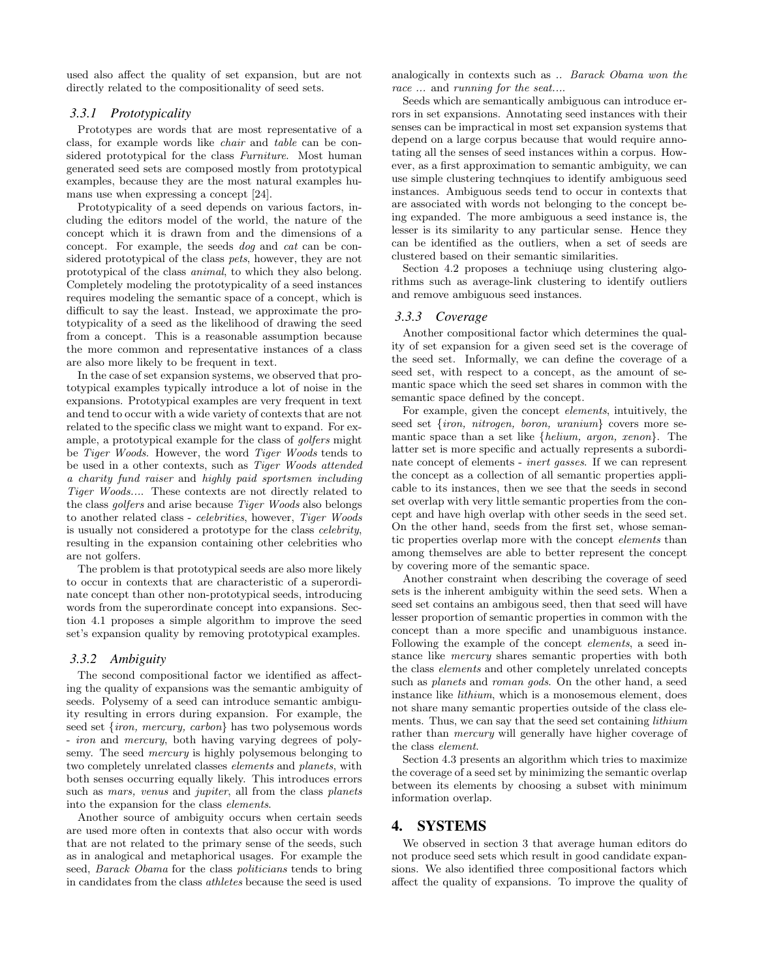used also affect the quality of set expansion, but are not directly related to the compositionality of seed sets.

#### *3.3.1 Prototypicality*

Prototypes are words that are most representative of a class, for example words like chair and table can be considered prototypical for the class Furniture. Most human generated seed sets are composed mostly from prototypical examples, because they are the most natural examples humans use when expressing a concept [24].

Prototypicality of a seed depends on various factors, including the editors model of the world, the nature of the concept which it is drawn from and the dimensions of a concept. For example, the seeds dog and cat can be considered prototypical of the class pets, however, they are not prototypical of the class animal, to which they also belong. Completely modeling the prototypicality of a seed instances requires modeling the semantic space of a concept, which is difficult to say the least. Instead, we approximate the prototypicality of a seed as the likelihood of drawing the seed from a concept. This is a reasonable assumption because the more common and representative instances of a class are also more likely to be frequent in text.

In the case of set expansion systems, we observed that prototypical examples typically introduce a lot of noise in the expansions. Prototypical examples are very frequent in text and tend to occur with a wide variety of contexts that are not related to the specific class we might want to expand. For example, a prototypical example for the class of golfers might be Tiger Woods. However, the word Tiger Woods tends to be used in a other contexts, such as Tiger Woods attended a charity fund raiser and highly paid sportsmen including Tiger Woods.... These contexts are not directly related to the class golfers and arise because Tiger Woods also belongs to another related class - celebrities, however, Tiger Woods is usually not considered a prototype for the class celebrity, resulting in the expansion containing other celebrities who are not golfers.

The problem is that prototypical seeds are also more likely to occur in contexts that are characteristic of a superordinate concept than other non-prototypical seeds, introducing words from the superordinate concept into expansions. Section 4.1 proposes a simple algorithm to improve the seed set's expansion quality by removing prototypical examples.

#### *3.3.2 Ambiguity*

The second compositional factor we identified as affecting the quality of expansions was the semantic ambiguity of seeds. Polysemy of a seed can introduce semantic ambiguity resulting in errors during expansion. For example, the seed set {iron, mercury, carbon} has two polysemous words - iron and mercury, both having varying degrees of polysemy. The seed *mercury* is highly polysemous belonging to two completely unrelated classes elements and planets, with both senses occurring equally likely. This introduces errors such as *mars*, *venus* and *jupiter*, all from the class *planets* into the expansion for the class elements.

Another source of ambiguity occurs when certain seeds are used more often in contexts that also occur with words that are not related to the primary sense of the seeds, such as in analogical and metaphorical usages. For example the seed, Barack Obama for the class politicians tends to bring in candidates from the class athletes because the seed is used

analogically in contexts such as .. Barack Obama won the race ... and running for the seat....

Seeds which are semantically ambiguous can introduce errors in set expansions. Annotating seed instances with their senses can be impractical in most set expansion systems that depend on a large corpus because that would require annotating all the senses of seed instances within a corpus. However, as a first approximation to semantic ambiguity, we can use simple clustering technqiues to identify ambiguous seed instances. Ambiguous seeds tend to occur in contexts that are associated with words not belonging to the concept being expanded. The more ambiguous a seed instance is, the lesser is its similarity to any particular sense. Hence they can be identified as the outliers, when a set of seeds are clustered based on their semantic similarities.

Section 4.2 proposes a techniuqe using clustering algorithms such as average-link clustering to identify outliers and remove ambiguous seed instances.

### *3.3.3 Coverage*

Another compositional factor which determines the quality of set expansion for a given seed set is the coverage of the seed set. Informally, we can define the coverage of a seed set, with respect to a concept, as the amount of semantic space which the seed set shares in common with the semantic space defined by the concept.

For example, given the concept elements, intuitively, the seed set *{iron, nitrogen, boron, uranium}* covers more semantic space than a set like {helium, argon, xenon}. The latter set is more specific and actually represents a subordinate concept of elements - inert gasses. If we can represent the concept as a collection of all semantic properties applicable to its instances, then we see that the seeds in second set overlap with very little semantic properties from the concept and have high overlap with other seeds in the seed set. On the other hand, seeds from the first set, whose semantic properties overlap more with the concept elements than among themselves are able to better represent the concept by covering more of the semantic space.

Another constraint when describing the coverage of seed sets is the inherent ambiguity within the seed sets. When a seed set contains an ambigous seed, then that seed will have lesser proportion of semantic properties in common with the concept than a more specific and unambiguous instance. Following the example of the concept elements, a seed instance like mercury shares semantic properties with both the class elements and other completely unrelated concepts such as *planets* and *roman gods*. On the other hand, a seed instance like lithium, which is a monosemous element, does not share many semantic properties outside of the class elements. Thus, we can say that the seed set containing lithium rather than mercury will generally have higher coverage of the class element.

Section 4.3 presents an algorithm which tries to maximize the coverage of a seed set by minimizing the semantic overlap between its elements by choosing a subset with minimum information overlap.

# 4. SYSTEMS

We observed in section 3 that average human editors do not produce seed sets which result in good candidate expansions. We also identified three compositional factors which affect the quality of expansions. To improve the quality of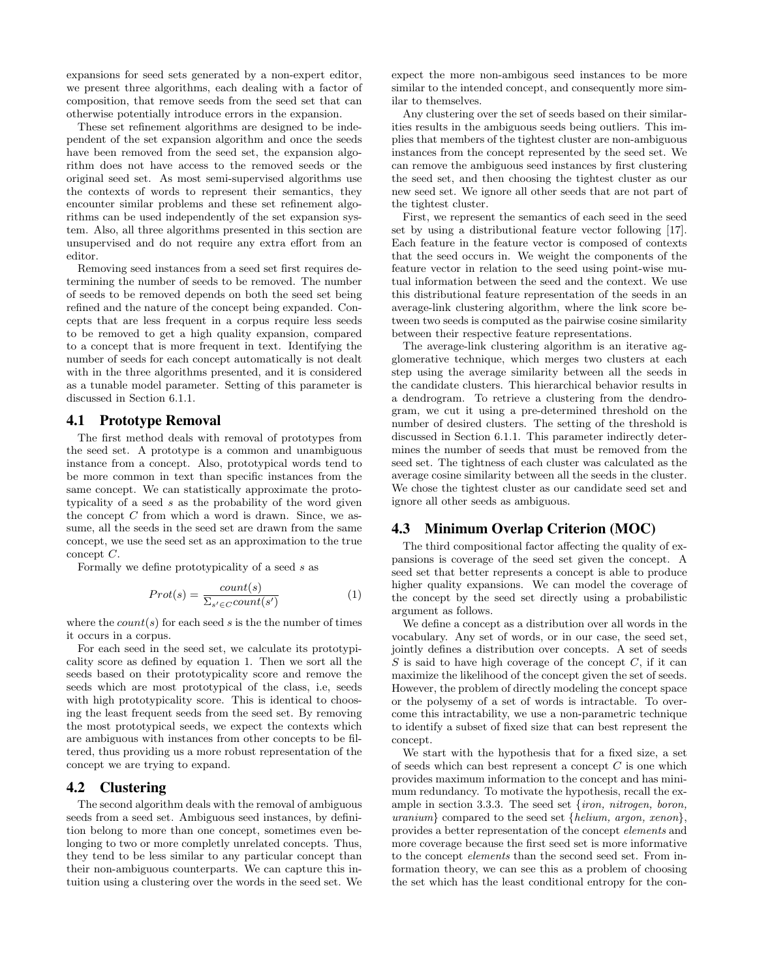expansions for seed sets generated by a non-expert editor, we present three algorithms, each dealing with a factor of composition, that remove seeds from the seed set that can otherwise potentially introduce errors in the expansion.

These set refinement algorithms are designed to be independent of the set expansion algorithm and once the seeds have been removed from the seed set, the expansion algorithm does not have access to the removed seeds or the original seed set. As most semi-supervised algorithms use the contexts of words to represent their semantics, they encounter similar problems and these set refinement algorithms can be used independently of the set expansion system. Also, all three algorithms presented in this section are unsupervised and do not require any extra effort from an editor.

Removing seed instances from a seed set first requires determining the number of seeds to be removed. The number of seeds to be removed depends on both the seed set being refined and the nature of the concept being expanded. Concepts that are less frequent in a corpus require less seeds to be removed to get a high quality expansion, compared to a concept that is more frequent in text. Identifying the number of seeds for each concept automatically is not dealt with in the three algorithms presented, and it is considered as a tunable model parameter. Setting of this parameter is discussed in Section 6.1.1.

# 4.1 Prototype Removal

The first method deals with removal of prototypes from the seed set. A prototype is a common and unambiguous instance from a concept. Also, prototypical words tend to be more common in text than specific instances from the same concept. We can statistically approximate the prototypicality of a seed  $s$  as the probability of the word given the concept  $C$  from which a word is drawn. Since, we assume, all the seeds in the seed set are drawn from the same concept, we use the seed set as an approximation to the true concept  $C$ .

Formally we define prototypicality of a seed  $s$  as

$$
Prot(s) = \frac{count(s)}{\sum_{s' \in C} count(s')} \tag{1}
$$

where the  $count(s)$  for each seed s is the the number of times it occurs in a corpus.

For each seed in the seed set, we calculate its prototypicality score as defined by equation 1. Then we sort all the seeds based on their prototypicality score and remove the seeds which are most prototypical of the class, i.e, seeds with high prototypicality score. This is identical to choosing the least frequent seeds from the seed set. By removing the most prototypical seeds, we expect the contexts which are ambiguous with instances from other concepts to be filtered, thus providing us a more robust representation of the concept we are trying to expand.

# 4.2 Clustering

The second algorithm deals with the removal of ambiguous seeds from a seed set. Ambiguous seed instances, by definition belong to more than one concept, sometimes even belonging to two or more completly unrelated concepts. Thus, they tend to be less similar to any particular concept than their non-ambiguous counterparts. We can capture this intuition using a clustering over the words in the seed set. We expect the more non-ambigous seed instances to be more similar to the intended concept, and consequently more similar to themselves.

Any clustering over the set of seeds based on their similarities results in the ambiguous seeds being outliers. This implies that members of the tightest cluster are non-ambiguous instances from the concept represented by the seed set. We can remove the ambiguous seed instances by first clustering the seed set, and then choosing the tightest cluster as our new seed set. We ignore all other seeds that are not part of the tightest cluster.

First, we represent the semantics of each seed in the seed set by using a distributional feature vector following [17]. Each feature in the feature vector is composed of contexts that the seed occurs in. We weight the components of the feature vector in relation to the seed using point-wise mutual information between the seed and the context. We use this distributional feature representation of the seeds in an average-link clustering algorithm, where the link score between two seeds is computed as the pairwise cosine similarity between their respective feature representations.

The average-link clustering algorithm is an iterative agglomerative technique, which merges two clusters at each step using the average similarity between all the seeds in the candidate clusters. This hierarchical behavior results in a dendrogram. To retrieve a clustering from the dendrogram, we cut it using a pre-determined threshold on the number of desired clusters. The setting of the threshold is discussed in Section 6.1.1. This parameter indirectly determines the number of seeds that must be removed from the seed set. The tightness of each cluster was calculated as the average cosine similarity between all the seeds in the cluster. We chose the tightest cluster as our candidate seed set and ignore all other seeds as ambiguous.

## 4.3 Minimum Overlap Criterion (MOC)

The third compositional factor affecting the quality of expansions is coverage of the seed set given the concept. A seed set that better represents a concept is able to produce higher quality expansions. We can model the coverage of the concept by the seed set directly using a probabilistic argument as follows.

We define a concept as a distribution over all words in the vocabulary. Any set of words, or in our case, the seed set, jointly defines a distribution over concepts. A set of seeds  $S$  is said to have high coverage of the concept  $C$ , if it can maximize the likelihood of the concept given the set of seeds. However, the problem of directly modeling the concept space or the polysemy of a set of words is intractable. To overcome this intractability, we use a non-parametric technique to identify a subset of fixed size that can best represent the concept.

We start with the hypothesis that for a fixed size, a set of seeds which can best represent a concept  $C$  is one which provides maximum information to the concept and has minimum redundancy. To motivate the hypothesis, recall the example in section 3.3.3. The seed set {iron, nitrogen, boron, uranium} compared to the seed set {helium, argon, xenon}, provides a better representation of the concept elements and more coverage because the first seed set is more informative to the concept elements than the second seed set. From information theory, we can see this as a problem of choosing the set which has the least conditional entropy for the con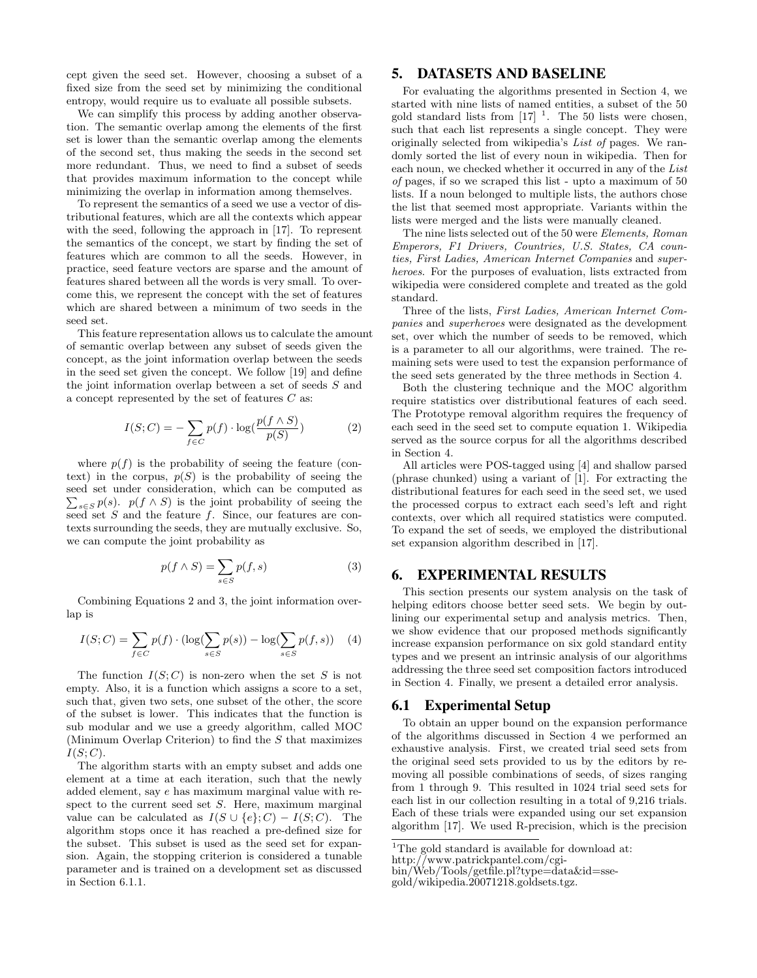cept given the seed set. However, choosing a subset of a fixed size from the seed set by minimizing the conditional entropy, would require us to evaluate all possible subsets.

We can simplify this process by adding another observation. The semantic overlap among the elements of the first set is lower than the semantic overlap among the elements of the second set, thus making the seeds in the second set more redundant. Thus, we need to find a subset of seeds that provides maximum information to the concept while minimizing the overlap in information among themselves.

To represent the semantics of a seed we use a vector of distributional features, which are all the contexts which appear with the seed, following the approach in [17]. To represent the semantics of the concept, we start by finding the set of features which are common to all the seeds. However, in practice, seed feature vectors are sparse and the amount of features shared between all the words is very small. To overcome this, we represent the concept with the set of features which are shared between a minimum of two seeds in the seed set.

This feature representation allows us to calculate the amount of semantic overlap between any subset of seeds given the concept, as the joint information overlap between the seeds in the seed set given the concept. We follow [19] and define the joint information overlap between a set of seeds  $S$  and a concept represented by the set of features  $C$  as:

$$
I(S;C) = -\sum_{f \in C} p(f) \cdot \log(\frac{p(f \wedge S)}{p(S)})
$$
 (2)

where  $p(f)$  is the probability of seeing the feature (context) in the corpus,  $p(S)$  is the probability of seeing the seed set under consideration, which can be computed as  $\sum_{s\in S} p(s)$ .  $p(f \wedge S)$  is the joint probability of seeing the seed set  $S$  and the feature  $f$ . Since, our features are contexts surrounding the seeds, they are mutually exclusive. So, we can compute the joint probability as

$$
p(f \wedge S) = \sum_{s \in S} p(f, s) \tag{3}
$$

Combining Equations 2 and 3, the joint information overlap is

$$
I(S;C) = \sum_{f \in C} p(f) \cdot (\log(\sum_{s \in S} p(s)) - \log(\sum_{s \in S} p(f,s)) \quad (4)
$$

The function  $I(S; C)$  is non-zero when the set S is not empty. Also, it is a function which assigns a score to a set, such that, given two sets, one subset of the other, the score of the subset is lower. This indicates that the function is sub modular and we use a greedy algorithm, called MOC (Minimum Overlap Criterion) to find the  $S$  that maximizes  $I(S; C)$ .

The algorithm starts with an empty subset and adds one element at a time at each iteration, such that the newly added element, say  $e$  has maximum marginal value with respect to the current seed set  $S$ . Here, maximum marginal value can be calculated as  $I(S \cup \{e\}; C) - I(S; C)$ . The algorithm stops once it has reached a pre-defined size for the subset. This subset is used as the seed set for expansion. Again, the stopping criterion is considered a tunable parameter and is trained on a development set as discussed in Section 6.1.1.

## 5. DATASETS AND BASELINE

For evaluating the algorithms presented in Section 4, we started with nine lists of named entities, a subset of the 50 gold standard lists from  $\left[17\right]$ <sup>1</sup>. The 50 lists were chosen, such that each list represents a single concept. They were originally selected from wikipedia's List of pages. We randomly sorted the list of every noun in wikipedia. Then for each noun, we checked whether it occurred in any of the List of pages, if so we scraped this list - upto a maximum of 50 lists. If a noun belonged to multiple lists, the authors chose the list that seemed most appropriate. Variants within the lists were merged and the lists were manually cleaned.

The nine lists selected out of the 50 were Elements, Roman Emperors, F1 Drivers, Countries, U.S. States, CA counties, First Ladies, American Internet Companies and superheroes. For the purposes of evaluation, lists extracted from wikipedia were considered complete and treated as the gold standard.

Three of the lists, First Ladies, American Internet Companies and superheroes were designated as the development set, over which the number of seeds to be removed, which is a parameter to all our algorithms, were trained. The remaining sets were used to test the expansion performance of the seed sets generated by the three methods in Section 4.

Both the clustering technique and the MOC algorithm require statistics over distributional features of each seed. The Prototype removal algorithm requires the frequency of each seed in the seed set to compute equation 1. Wikipedia served as the source corpus for all the algorithms described in Section 4.

All articles were POS-tagged using [4] and shallow parsed (phrase chunked) using a variant of [1]. For extracting the distributional features for each seed in the seed set, we used the processed corpus to extract each seed's left and right contexts, over which all required statistics were computed. To expand the set of seeds, we employed the distributional set expansion algorithm described in [17].

## 6. EXPERIMENTAL RESULTS

This section presents our system analysis on the task of helping editors choose better seed sets. We begin by outlining our experimental setup and analysis metrics. Then, we show evidence that our proposed methods significantly increase expansion performance on six gold standard entity types and we present an intrinsic analysis of our algorithms addressing the three seed set composition factors introduced in Section 4. Finally, we present a detailed error analysis.

#### 6.1 Experimental Setup

To obtain an upper bound on the expansion performance of the algorithms discussed in Section 4 we performed an exhaustive analysis. First, we created trial seed sets from the original seed sets provided to us by the editors by removing all possible combinations of seeds, of sizes ranging from 1 through 9. This resulted in 1024 trial seed sets for each list in our collection resulting in a total of 9,216 trials. Each of these trials were expanded using our set expansion algorithm [17]. We used R-precision, which is the precision

http://www.patrickpantel.com/cgi-

 $^1\mathrm{The}$  gold standard is available for download at:

bin/Web/Tools/getfile.pl?type=data&id=sse-

gold/wikipedia.20071218.goldsets.tgz.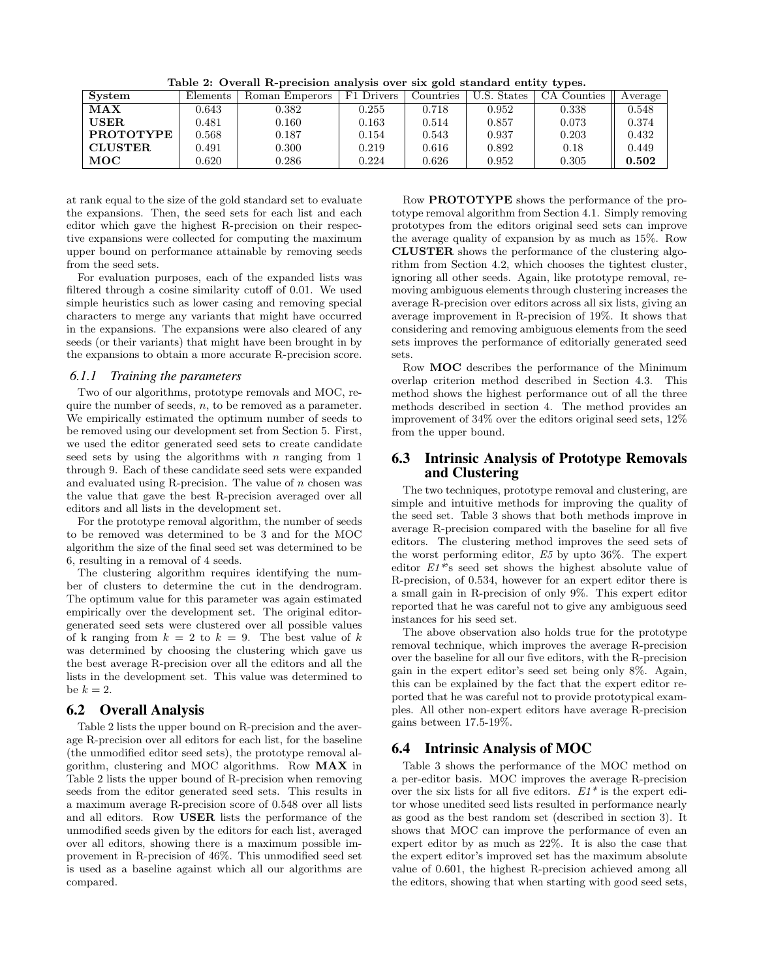|                  |             |                |                |                   |                | .        |             |
|------------------|-------------|----------------|----------------|-------------------|----------------|----------|-------------|
| <b>System</b>    | Elements    | Roman Emperors | <b>Drivers</b> | <i>c</i> ountries | . States<br>.S | Counties | Average     |
| <b>MAX</b>       | $\;\:0.643$ | $\rm 0.382$    | 0.255          | 0.718             | 0.952          | 0.338    | 0.548       |
| <b>USER</b>      | 9.481       | 0.160          | 0.163          | 0.514             | 0.857          | 0.073    | 0.374       |
| <b>PROTOTYPE</b> | 0.568       | 0.187          | 0.154          | 0.543             | 0.937          | 0.203    | 0.432       |
| <b>CLUSTER</b>   | ${0.491}$   | $0.300\,$      | 0.219          | 0.616             | 0.892          | 0.18     | 0.449       |
| $_{\rm MOC}$     | ${0.620}$   | 0.286          | 0.224          | 0.626             | 0.952          | 0.305    | $\,0.502\,$ |

Table 2: Overall R-precision analysis over six gold standard entity types.

at rank equal to the size of the gold standard set to evaluate the expansions. Then, the seed sets for each list and each editor which gave the highest R-precision on their respective expansions were collected for computing the maximum upper bound on performance attainable by removing seeds from the seed sets.

For evaluation purposes, each of the expanded lists was filtered through a cosine similarity cutoff of 0.01. We used simple heuristics such as lower casing and removing special characters to merge any variants that might have occurred in the expansions. The expansions were also cleared of any seeds (or their variants) that might have been brought in by the expansions to obtain a more accurate R-precision score.

#### *6.1.1 Training the parameters*

Two of our algorithms, prototype removals and MOC, require the number of seeds,  $n$ , to be removed as a parameter. We empirically estimated the optimum number of seeds to be removed using our development set from Section 5. First, we used the editor generated seed sets to create candidate seed sets by using the algorithms with  $n$  ranging from 1 through 9. Each of these candidate seed sets were expanded and evaluated using R-precision. The value of  $n$  chosen was the value that gave the best R-precision averaged over all editors and all lists in the development set.

For the prototype removal algorithm, the number of seeds to be removed was determined to be 3 and for the MOC algorithm the size of the final seed set was determined to be 6, resulting in a removal of 4 seeds.

The clustering algorithm requires identifying the number of clusters to determine the cut in the dendrogram. The optimum value for this parameter was again estimated empirically over the development set. The original editorgenerated seed sets were clustered over all possible values of k ranging from  $k = 2$  to  $k = 9$ . The best value of k was determined by choosing the clustering which gave us the best average R-precision over all the editors and all the lists in the development set. This value was determined to be  $k = 2$ .

## 6.2 Overall Analysis

Table 2 lists the upper bound on R-precision and the average R-precision over all editors for each list, for the baseline (the unmodified editor seed sets), the prototype removal algorithm, clustering and MOC algorithms. Row MAX in Table 2 lists the upper bound of R-precision when removing seeds from the editor generated seed sets. This results in a maximum average R-precision score of 0.548 over all lists and all editors. Row USER lists the performance of the unmodified seeds given by the editors for each list, averaged over all editors, showing there is a maximum possible improvement in R-precision of 46%. This unmodified seed set is used as a baseline against which all our algorithms are compared.

Row PROTOTYPE shows the performance of the prototype removal algorithm from Section 4.1. Simply removing prototypes from the editors original seed sets can improve the average quality of expansion by as much as 15%. Row CLUSTER shows the performance of the clustering algorithm from Section 4.2, which chooses the tightest cluster, ignoring all other seeds. Again, like prototype removal, removing ambiguous elements through clustering increases the average R-precision over editors across all six lists, giving an average improvement in R-precision of 19%. It shows that considering and removing ambiguous elements from the seed sets improves the performance of editorially generated seed sets.

Row MOC describes the performance of the Minimum overlap criterion method described in Section 4.3. This method shows the highest performance out of all the three methods described in section 4. The method provides an improvement of 34% over the editors original seed sets, 12% from the upper bound.

# 6.3 Intrinsic Analysis of Prototype Removals and Clustering

The two techniques, prototype removal and clustering, are simple and intuitive methods for improving the quality of the seed set. Table 3 shows that both methods improve in average R-precision compared with the baseline for all five editors. The clustering method improves the seed sets of the worst performing editor, E5 by upto 36%. The expert editor  $E1^*$ 's seed set shows the highest absolute value of R-precision, of 0.534, however for an expert editor there is a small gain in R-precision of only 9%. This expert editor reported that he was careful not to give any ambiguous seed instances for his seed set.

The above observation also holds true for the prototype removal technique, which improves the average R-precision over the baseline for all our five editors, with the R-precision gain in the expert editor's seed set being only 8%. Again, this can be explained by the fact that the expert editor reported that he was careful not to provide prototypical examples. All other non-expert editors have average R-precision gains between 17.5-19%.

#### 6.4 Intrinsic Analysis of MOC

Table 3 shows the performance of the MOC method on a per-editor basis. MOC improves the average R-precision over the six lists for all five editors.  $E1^*$  is the expert editor whose unedited seed lists resulted in performance nearly as good as the best random set (described in section 3). It shows that MOC can improve the performance of even an expert editor by as much as 22%. It is also the case that the expert editor's improved set has the maximum absolute value of 0.601, the highest R-precision achieved among all the editors, showing that when starting with good seed sets,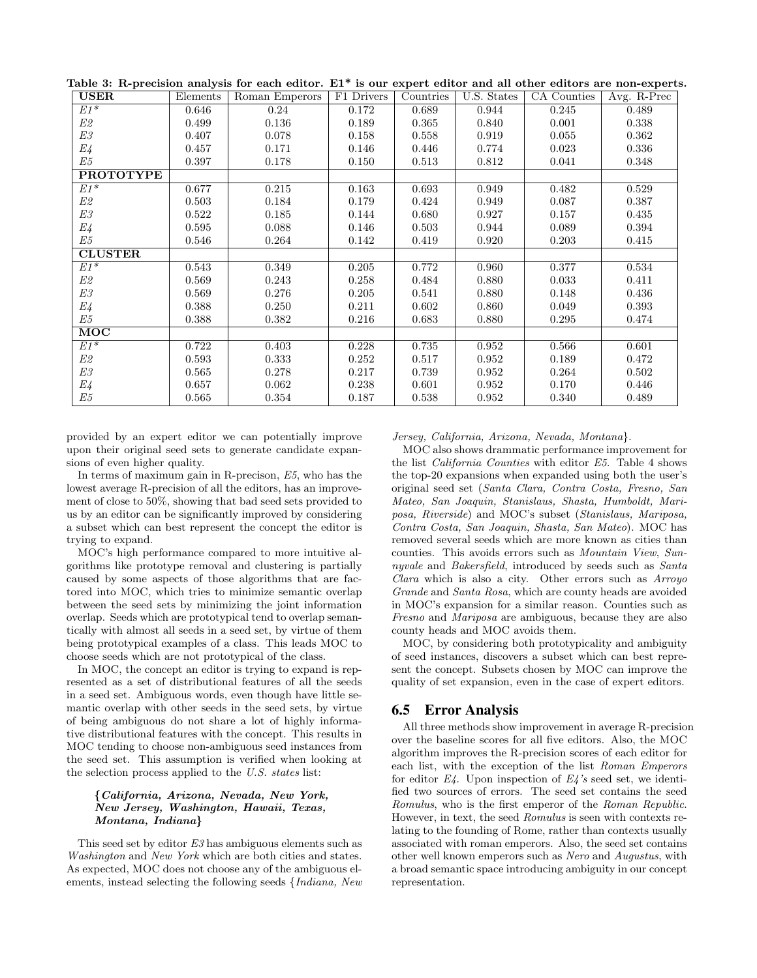Table 3: R-precision analysis for each editor. E1\* is our expert editor and all other editors are non-experts.

| <b>USER</b>             | Elements | Roman Emperors | F1 Drivers | Countries | U.S. States | CA Counties | Avg. R-Prec |
|-------------------------|----------|----------------|------------|-----------|-------------|-------------|-------------|
| $E1*$                   | 0.646    | 0.24           | 0.172      | 0.689     | 0.944       | 0.245       | 0.489       |
| E2                      | 0.499    | 0.136          | 0.189      | 0.365     | 0.840       | 0.001       | 0.338       |
| E3                      | 0.407    | 0.078          | 0.158      | 0.558     | 0.919       | 0.055       | 0.362       |
| $E_{4}$                 | 0.457    | 0.171          | 0.146      | 0.446     | 0.774       | 0.023       | 0.336       |
| E5                      | 0.397    | 0.178          | 0.150      | 0.513     | 0.812       | 0.041       | 0.348       |
| <b>PROTOTYPE</b>        |          |                |            |           |             |             |             |
| $EI^*$                  | 0.677    | 0.215          | 0.163      | 0.693     | 0.949       | 0.482       | 0.529       |
| E2                      | 0.503    | 0.184          | 0.179      | 0.424     | 0.949       | 0.087       | 0.387       |
| E3                      | 0.522    | 0.185          | 0.144      | 0.680     | 0.927       | 0.157       | 0.435       |
| $E_{4}$                 | 0.595    | 0.088          | 0.146      | 0.503     | 0.944       | 0.089       | 0.394       |
| E5                      | 0.546    | 0.264          | 0.142      | 0.419     | 0.920       | 0.203       | 0.415       |
| <b>CLUSTER</b>          |          |                |            |           |             |             |             |
| $E1*$                   | 0.543    | 0.349          | 0.205      | 0.772     | 0.960       | 0.377       | 0.534       |
| E2                      | 0.569    | 0.243          | 0.258      | 0.484     | 0.880       | 0.033       | 0.411       |
| E3                      | 0.569    | 0.276          | 0.205      | 0.541     | 0.880       | 0.148       | 0.436       |
| $E_{4}$                 | 0.388    | 0.250          | 0.211      | 0.602     | 0.860       | 0.049       | 0.393       |
| E5                      | 0.388    | 0.382          | 0.216      | 0.683     | 0.880       | 0.295       | 0.474       |
| $\overline{\text{MOC}}$ |          |                |            |           |             |             |             |
| $EI^*$                  | 0.722    | 0.403          | 0.228      | 0.735     | 0.952       | 0.566       | 0.601       |
| E2                      | 0.593    | 0.333          | 0.252      | 0.517     | 0.952       | 0.189       | 0.472       |
| E3                      | 0.565    | 0.278          | 0.217      | 0.739     | 0.952       | 0.264       | 0.502       |
| $E_{4}$                 | 0.657    | 0.062          | 0.238      | 0.601     | 0.952       | 0.170       | 0.446       |
| E5                      | 0.565    | 0.354          | 0.187      | 0.538     | 0.952       | 0.340       | 0.489       |

provided by an expert editor we can potentially improve upon their original seed sets to generate candidate expansions of even higher quality.

In terms of maximum gain in R-precison, E5, who has the lowest average R-precision of all the editors, has an improvement of close to 50%, showing that bad seed sets provided to us by an editor can be significantly improved by considering a subset which can best represent the concept the editor is trying to expand.

MOC's high performance compared to more intuitive algorithms like prototype removal and clustering is partially caused by some aspects of those algorithms that are factored into MOC, which tries to minimize semantic overlap between the seed sets by minimizing the joint information overlap. Seeds which are prototypical tend to overlap semantically with almost all seeds in a seed set, by virtue of them being prototypical examples of a class. This leads MOC to choose seeds which are not prototypical of the class.

In MOC, the concept an editor is trying to expand is represented as a set of distributional features of all the seeds in a seed set. Ambiguous words, even though have little semantic overlap with other seeds in the seed sets, by virtue of being ambiguous do not share a lot of highly informative distributional features with the concept. This results in MOC tending to choose non-ambiguous seed instances from the seed set. This assumption is verified when looking at the selection process applied to the U.S. states list:

#### {California, Arizona, Nevada, New York, New Jersey, Washington, Hawaii, Texas, Montana, Indiana}

This seed set by editor E3 has ambiguous elements such as Washington and New York which are both cities and states. As expected, MOC does not choose any of the ambiguous elements, instead selecting the following seeds {Indiana, New Jersey, California, Arizona, Nevada, Montana}.

MOC also shows drammatic performance improvement for the list California Counties with editor E5. Table 4 shows the top-20 expansions when expanded using both the user's original seed set (Santa Clara, Contra Costa, Fresno, San Mateo, San Joaquin, Stanislaus, Shasta, Humboldt, Mariposa, Riverside) and MOC's subset (Stanislaus, Mariposa, Contra Costa, San Joaquin, Shasta, San Mateo). MOC has removed several seeds which are more known as cities than counties. This avoids errors such as Mountain View, Sunnyvale and Bakersfield, introduced by seeds such as Santa Clara which is also a city. Other errors such as Arroyo Grande and Santa Rosa, which are county heads are avoided in MOC's expansion for a similar reason. Counties such as Fresno and Mariposa are ambiguous, because they are also county heads and MOC avoids them.

MOC, by considering both prototypicality and ambiguity of seed instances, discovers a subset which can best represent the concept. Subsets chosen by MOC can improve the quality of set expansion, even in the case of expert editors.

## 6.5 Error Analysis

All three methods show improvement in average R-precision over the baseline scores for all five editors. Also, the MOC algorithm improves the R-precision scores of each editor for each list, with the exception of the list Roman Emperors for editor  $E_4$ . Upon inspection of  $E_4$ 's seed set, we identified two sources of errors. The seed set contains the seed Romulus, who is the first emperor of the Roman Republic. However, in text, the seed Romulus is seen with contexts relating to the founding of Rome, rather than contexts usually associated with roman emperors. Also, the seed set contains other well known emperors such as Nero and Augustus, with a broad semantic space introducing ambiguity in our concept representation.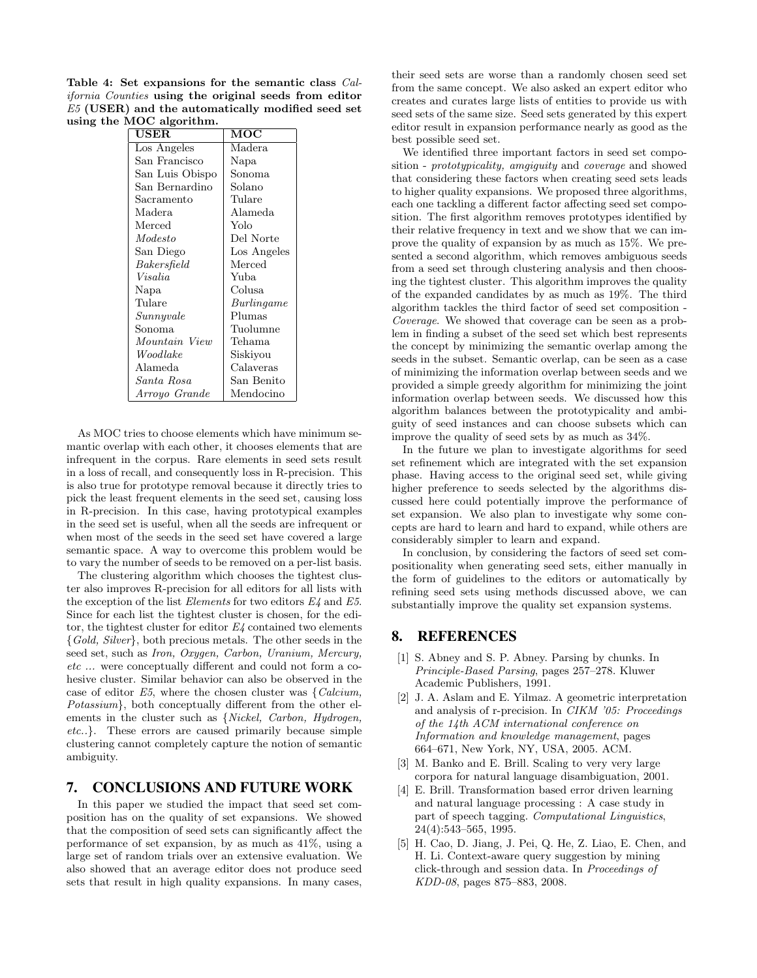Table 4: Set expansions for the semantic class California Counties using the original seeds from editor E5 (USER) and the automatically modified seed set using the MOC algorithm.

| USER.           | MOC         |
|-----------------|-------------|
| Los Angeles     | Madera      |
| San Francisco   | Napa        |
| San Luis Obispo | Sonoma      |
| San Bernardino  | Solano      |
| Sacramento      | Tulare      |
| Madera          | Alameda     |
| Merced          | Yolo        |
| Modesto         | Del Norte   |
| San Diego       | Los Angeles |
| Bakersfield     | Merced      |
| Visalia         | Yuba        |
| Napa            | Colusa      |
| Tulare          | Burlingame  |
| Sunny value     | Plumas      |
| Sonoma          | Tuolumne    |
| Mountain View   | Tehama      |
| Wood lake       | Siskiyou    |
| Alameda         | Calaveras   |
| Santa Rosa      | San Benito  |
| Arroyo Grande   | Mendocino   |

As MOC tries to choose elements which have minimum semantic overlap with each other, it chooses elements that are infrequent in the corpus. Rare elements in seed sets result in a loss of recall, and consequently loss in R-precision. This is also true for prototype removal because it directly tries to pick the least frequent elements in the seed set, causing loss in R-precision. In this case, having prototypical examples in the seed set is useful, when all the seeds are infrequent or when most of the seeds in the seed set have covered a large semantic space. A way to overcome this problem would be to vary the number of seeds to be removed on a per-list basis.

The clustering algorithm which chooses the tightest cluster also improves R-precision for all editors for all lists with the exception of the list *Elements* for two editors  $E_4$  and  $E_5$ . Since for each list the tightest cluster is chosen, for the editor, the tightest cluster for editor  $E_4$  contained two elements {Gold, Silver}, both precious metals. The other seeds in the seed set, such as Iron, Oxygen, Carbon, Uranium, Mercury, etc ... were conceptually different and could not form a cohesive cluster. Similar behavior can also be observed in the case of editor  $E5$ , where the chosen cluster was {Calcium, Potassium}, both conceptually different from the other elements in the cluster such as {Nickel, Carbon, Hydrogen, etc..}. These errors are caused primarily because simple clustering cannot completely capture the notion of semantic ambiguity.

# 7. CONCLUSIONS AND FUTURE WORK

In this paper we studied the impact that seed set composition has on the quality of set expansions. We showed that the composition of seed sets can significantly affect the performance of set expansion, by as much as 41%, using a large set of random trials over an extensive evaluation. We also showed that an average editor does not produce seed sets that result in high quality expansions. In many cases,

their seed sets are worse than a randomly chosen seed set from the same concept. We also asked an expert editor who creates and curates large lists of entities to provide us with seed sets of the same size. Seed sets generated by this expert editor result in expansion performance nearly as good as the best possible seed set.

We identified three important factors in seed set composition - prototypicality, amgiguity and coverage and showed that considering these factors when creating seed sets leads to higher quality expansions. We proposed three algorithms, each one tackling a different factor affecting seed set composition. The first algorithm removes prototypes identified by their relative frequency in text and we show that we can improve the quality of expansion by as much as 15%. We presented a second algorithm, which removes ambiguous seeds from a seed set through clustering analysis and then choosing the tightest cluster. This algorithm improves the quality of the expanded candidates by as much as 19%. The third algorithm tackles the third factor of seed set composition - Coverage. We showed that coverage can be seen as a problem in finding a subset of the seed set which best represents the concept by minimizing the semantic overlap among the seeds in the subset. Semantic overlap, can be seen as a case of minimizing the information overlap between seeds and we provided a simple greedy algorithm for minimizing the joint information overlap between seeds. We discussed how this algorithm balances between the prototypicality and ambiguity of seed instances and can choose subsets which can improve the quality of seed sets by as much as 34%.

In the future we plan to investigate algorithms for seed set refinement which are integrated with the set expansion phase. Having access to the original seed set, while giving higher preference to seeds selected by the algorithms discussed here could potentially improve the performance of set expansion. We also plan to investigate why some concepts are hard to learn and hard to expand, while others are considerably simpler to learn and expand.

In conclusion, by considering the factors of seed set compositionality when generating seed sets, either manually in the form of guidelines to the editors or automatically by refining seed sets using methods discussed above, we can substantially improve the quality set expansion systems.

# 8. REFERENCES

- [1] S. Abney and S. P. Abney. Parsing by chunks. In Principle-Based Parsing, pages 257–278. Kluwer Academic Publishers, 1991.
- [2] J. A. Aslam and E. Yilmaz. A geometric interpretation and analysis of r-precision. In CIKM '05: Proceedings of the 14th ACM international conference on Information and knowledge management, pages 664–671, New York, NY, USA, 2005. ACM.
- [3] M. Banko and E. Brill. Scaling to very very large corpora for natural language disambiguation, 2001.
- [4] E. Brill. Transformation based error driven learning and natural language processing : A case study in part of speech tagging. Computational Linguistics, 24(4):543–565, 1995.
- [5] H. Cao, D. Jiang, J. Pei, Q. He, Z. Liao, E. Chen, and H. Li. Context-aware query suggestion by mining click-through and session data. In Proceedings of KDD-08, pages 875–883, 2008.